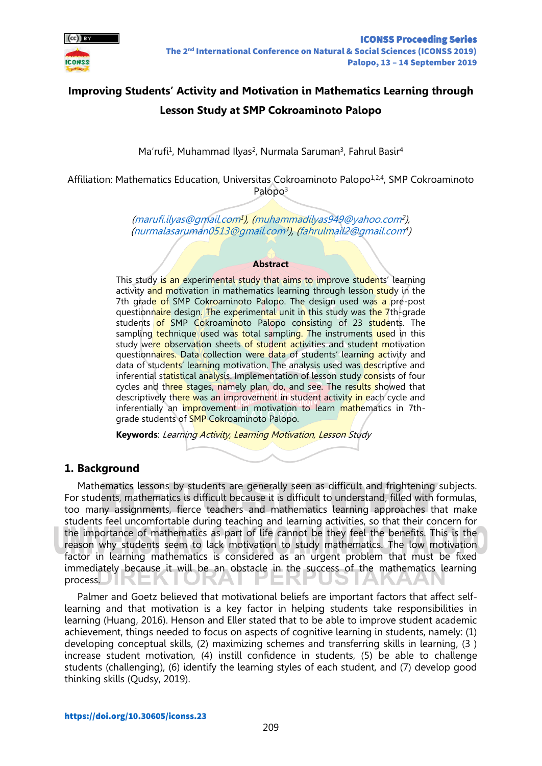

# **Improving Students' Activity and Motivation in Mathematics Learning through Lesson Study at SMP Cokroaminoto Palopo**

Ma'rufi<sup>1</sup>, Muhammad Ilyas<sup>2</sup>, Nurmala Saruman<sup>3</sup>, Fahrul Basir<sup>4</sup>

Affiliation: Mathematics Education, Universitas Cokroaminoto Palopo<sup>1,2,4</sup>, SMP Cokroaminoto Palopo<sup>3</sup>

> [\(marufi.ilyas@gmail.com](mailto:marufi.ilyas@gmail.com)<del>1</del>), [\(muhammadilyas949@yahoo.com](mailto:muhammadilyas949@yahoo.com)<sup>2</sup>), [\(nurmalasaruman0513@gmail.com](mailto:nurmalasaruman0513@gmail.com)<sup>3</sup> ), [\(fahrulmail2@gmail.com](mailto:fahrulmail2@gmail.com)<sup>4</sup> )

#### **Abstract**

This study is an experimental study that aims to improve students' learning activity and motivation in mathematics learning through lesson study in the 7th grade of SMP Cokroaminoto Palopo. The design used was a pre-post questionnaire design. The experimental unit in this study was the 7th-grade students of SMP Cokroaminoto Palopo consisting of 23 students. The sampling technique used was total sampling. The instruments used in this study were observation sheets of student activities and student motivation questionnaires. Data collection were data of students' learning activity and data of students' learning motivation. The analysis used was descriptive and inferential statistical analysis. Implementation of lesson study consists of four cycles and three stages, namely plan, do, and see. The results showed that descriptively there was an improvement in student activity in each cycle and inferentially an improvement in motivation to learn mathematics in 7thgrade students of **SMP** Cokroaminoto Palopo.

**Keywords**: Learning Activity, Learning Motivation, Lesson Study

## **1. Background**

Mathematics lessons by students are generally seen as difficult and frightening subjects. For students, mathematics is difficult because it is difficult to understand, filled with formulas, too many assignments, fierce teachers and mathematics learning approaches that make students feel uncomfortable during teaching and learning activities, so that their concern for the importance of mathematics as part of life cannot be they feel the benefits. This is the reason why students seem to lack motivation to study mathematics. The low motivation factor in learning mathematics is considered as an urgent problem that must be fixed immediately because it will be an obstacle in the success of the mathematics learning process.

Palmer and Goetz believed that motivational beliefs are important factors that affect selflearning and that motivation is a key factor in helping students take responsibilities in learning (Huang, 2016). Henson and Eller stated that to be able to improve student academic achievement, things needed to focus on aspects of cognitive learning in students, namely: (1) developing conceptual skills, (2) maximizing schemes and transferring skills in learning, (3 ) increase student motivation, (4) instill confidence in students, (5) be able to challenge students (challenging), (6) identify the learning styles of each student, and (7) develop good thinking skills (Qudsy, 2019).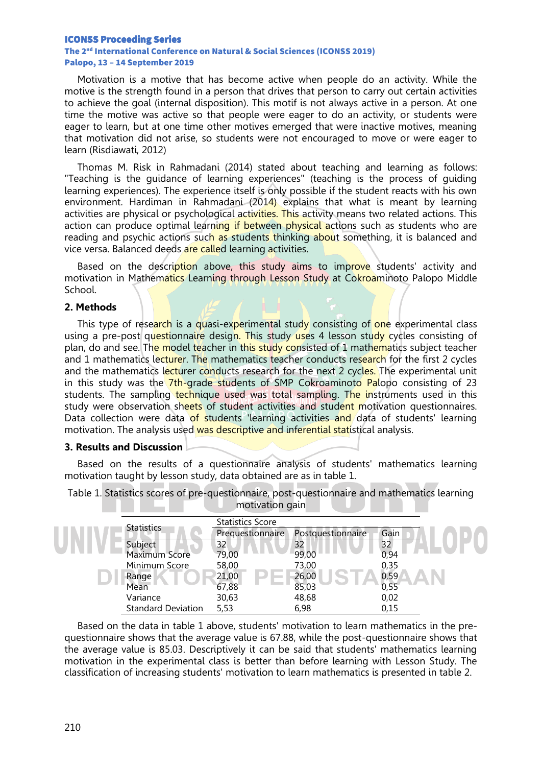#### ICONSS Proceeding Series

#### The 2nd International Conference on Natural & Social Sciences (ICONSS 2019) Palopo, 13 – 14 September 2019

Motivation is a motive that has become active when people do an activity. While the motive is the strength found in a person that drives that person to carry out certain activities to achieve the goal (internal disposition). This motif is not always active in a person. At one time the motive was active so that people were eager to do an activity, or students were eager to learn, but at one time other motives emerged that were inactive motives, meaning that motivation did not arise, so students were not encouraged to move or were eager to learn (Risdiawati, 2012)

Thomas M. Risk in Rahmadani (2014) stated about teaching and learning as follows: "Teaching is the guidance of learning experiences" (teaching is the process of guiding learning experiences). The experience itself is only possible if the student reacts with his own environment. Hardiman in Rahmadani (2014) explains that what is meant by learning activities are physical or psychological activities. This activity means two related actions. This action can produce optimal learning if between physical actions such as students who are reading and psychic actions such as students thinking about something, it is balanced and vice versa. Balanced deeds are called learning activities.

Based on the description above, this study aims to improve students' activity and motivation in Mathematics Learning through Lesson Study at Cokroaminoto Palopo Middle School.

#### **2. Methods**

This type of research is a quasi-experimental study consisting of one experimental class using a pre-post questionnaire design. This study uses 4 lesson study cycles consisting of plan, do and see. The model teacher in this study consisted of 1 mathematics subject teacher and 1 mathematics lecturer. The mathematics teacher conducts research for the first 2 cycles and the mathematics lecturer conducts research for the next 2 cycles. The experimental unit in this study was the 7th-grade students of SMP Cokroaminoto Palopo consisting of 23 students. The sampling technique used was total sampling. The instruments used in this study were observation sheets of student activities and student motivation questionnaires. Data collection were data of students learning activities and data of students' learning motivation. The analysis used was descriptive and inferential statistical analysis.

#### **3. Results and Discussion**

Based on the results of a questionnaire analysis of students' mathematics learning motivation taught by lesson study, data obtained are as in table 1.

| motivation gain           |                         |                   |      |  |  |
|---------------------------|-------------------------|-------------------|------|--|--|
| <b>Statistics</b>         | <b>Statistics Score</b> |                   |      |  |  |
|                           | Prequestionnaire        | Postquestionnaire | Gain |  |  |
| Subject                   | 32                      | 32                | 32   |  |  |
| Maximum Score             | 79,00                   | 99,00             | 0,94 |  |  |
| Minimum Score             | 58,00                   | 73,00             | 0,35 |  |  |
| Range                     | 21,00                   | 26,00             | 0,59 |  |  |
| Mean                      | 67,88                   | 85,03             | 0,55 |  |  |
| Variance                  | 30,63                   | 48,68             | 0,02 |  |  |
| <b>Standard Deviation</b> | 5,53                    | 6,98              | 0,15 |  |  |

Table 1. Statistics scores of pre-questionnaire, post-questionnaire and mathematics learning

Based on the data in table 1 above, students' motivation to learn mathematics in the prequestionnaire shows that the average value is 67.88, while the post-questionnaire shows that the average value is 85.03. Descriptively it can be said that students' mathematics learning motivation in the experimental class is better than before learning with Lesson Study. The classification of increasing students' motivation to learn mathematics is presented in table 2.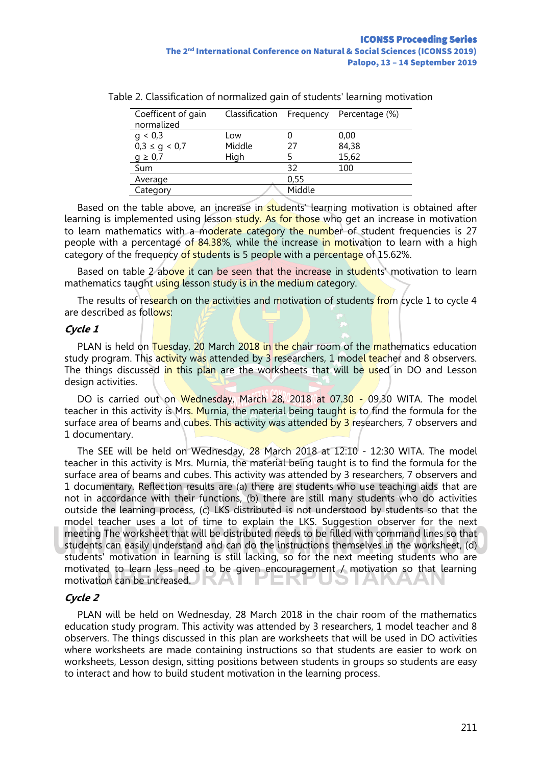| Coefficent of gain<br>normalized | Classification Frequency |        | Percentage (%) |
|----------------------------------|--------------------------|--------|----------------|
| q < 0.3                          | Low                      |        | 0,00           |
| $0,3 \le g < 0,7$                | Middle                   | 27     | 84,38          |
| $g \geq 0.7$                     | High                     |        | 15,62          |
| Sum                              |                          | 32     | 100            |
| Average                          |                          | 0,55   |                |
| Category                         |                          | Middle |                |

Table 2. Classification of normalized gain of students' learning motivation

Based on the table above, an increase in **students** learning motivation is obtained after learning is implemented using lesson study. As for those who get an increase in motivation to learn mathematics with a moderate category the number of student frequencies is 27 people with a percentage of 84.38%, while the increase in motivation to learn with a high category of the frequency of students is 5 people with a percentage of 15.62%.

Based on table 2 above it can be seen that the increase in students' motivation to learn mathematics taught using lesson study is in the medium category.

The results of research on the activities and motivation of students from cycle 1 to cycle 4 are described as follows:

#### **Cycle 1**

PLAN is held on Tuesday, 20 March 2018 in the chair room of the mathematics education study program. This activity was attended by 3 researchers, 1 model teacher and 8 observers. The things discussed in this plan are the worksheets that will be used in DO and Lesson design activities.

DO is carried out on Wednesday, March 28, 2018 at 07.30 - 09.30 WITA. The model teacher in this activity is Mrs. Murnia, the material being taught is to find the formula for the surface area of beams and cubes. This activity was attended by 3 researchers, 7 observers and 1 documentary.

The SEE will be held on Wednesday, 28 March 2018 at 12:10 - 12:30 WITA. The model teacher in this activity is Mrs. Murnia, the material being taught is to find the formula for the surface area of beams and cubes. This activity was attended by 3 researchers, 7 observers and 1 documentary. Reflection results are (a) there are students who use teaching aids that are not in accordance with their functions, (b) there are still many students who do activities outside the learning process, (c) LKS distributed is not understood by students so that the model teacher uses a lot of time to explain the LKS. Suggestion observer for the next meeting The worksheet that will be distributed needs to be filled with command lines so that students can easily understand and can do the instructions themselves in the worksheet, (d) students' motivation in learning is still lacking, so for the next meeting students who are motivated to learn less need to be given encouragement / motivation so that learning motivation can be increased. Еľ

## **Cycle 2**

PLAN will be held on Wednesday, 28 March 2018 in the chair room of the mathematics education study program. This activity was attended by 3 researchers, 1 model teacher and 8 observers. The things discussed in this plan are worksheets that will be used in DO activities where worksheets are made containing instructions so that students are easier to work on worksheets, Lesson design, sitting positions between students in groups so students are easy to interact and how to build student motivation in the learning process.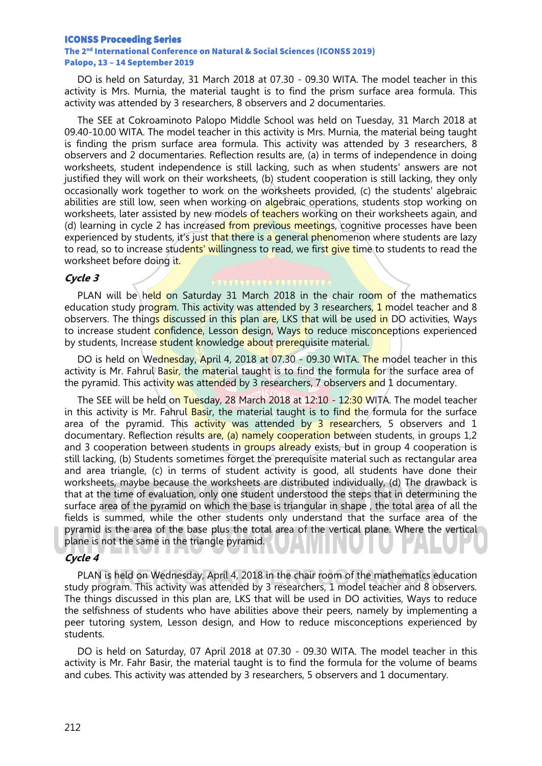#### ICONSS Proceeding Series

#### The 2nd International Conference on Natural & Social Sciences (ICONSS 2019) Palopo, 13 – 14 September 2019

DO is held on Saturday, 31 March 2018 at 07.30 - 09.30 WITA. The model teacher in this activity is Mrs. Murnia, the material taught is to find the prism surface area formula. This activity was attended by 3 researchers, 8 observers and 2 documentaries.

The SEE at Cokroaminoto Palopo Middle School was held on Tuesday, 31 March 2018 at 09.40-10.00 WITA. The model teacher in this activity is Mrs. Murnia, the material being taught is finding the prism surface area formula. This activity was attended by 3 researchers, 8 observers and 2 documentaries. Reflection results are, (a) in terms of independence in doing worksheets, student independence is still lacking, such as when students' answers are not justified they will work on their worksheets, (b) student cooperation is still lacking, they only occasionally work together to work on the worksheets provided, (c) the students' algebraic abilities are still low, seen when working on algebraic operations, students stop working on worksheets, later assisted by new models of teachers working on their worksheets again, and (d) learning in cycle 2 has increased from previous meetings, cognitive processes have been experienced by students, it's just that there is a general phenomenon where students are lazy to read, so to increase students' willingness to read, we first give time to students to read the worksheet before doing it.

#### **Cycle 3**

PLAN will be held on Saturday 31 March 2018 in the chair room of the mathematics education study program. This activity was attended by 3 researchers, 1 model teacher and 8 observers. The things discussed in this plan are, LKS that will be used in DO activities, Ways to increase student confidence, Lesson design, Ways to reduce misconceptions experienced by students, Increase student knowledge about prerequisite material.

DO is held on Wednesday, April 4, 2018 at 07.30 - 09.30 WITA. The model teacher in this activity is Mr. Fahrul Basir, the material taught is to find the formula for the surface area of the pyramid. This activity was attended by 3 researchers, 7 observers and 1 documentary.

The SEE will be held on Tuesday, 28 March 2018 at 12:10 - 12:30 WITA. The model teacher in this activity is Mr. Fahrul Basir, the material taught is to find the formula for the surface area of the pyramid. This  $\frac{2}{x}$  activity was attended by 3 researchers, 5 observers and 1 documentary. Reflection results are, (a) namely cooperation between students, in groups 1,2 and 3 cooperation between students in groups already exists, but in group 4 cooperation is still lacking, (b) Students sometimes forget the prerequisite material such as rectangular area and area triangle, (c) in terms of student activity is good, all students have done their worksheets, maybe because the worksheets are distributed individually, (d) The drawback is that at the time of evaluation, only one student understood the steps that in determining the surface area of the pyramid on which the base is triangular in shape , the total area of all the fields is summed, while the other students only understand that the surface area of the pyramid is the area of the base plus the total area of the vertical plane. Where the vertical plane is not the same in the triangle pyramid.

# **Cycle 4**

PLAN is held on Wednesday, April 4, 2018 in the chair room of the mathematics education study program. This activity was attended by 3 researchers, 1 model teacher and 8 observers. The things discussed in this plan are, LKS that will be used in DO activities, Ways to reduce the selfishness of students who have abilities above their peers, namely by implementing a peer tutoring system, Lesson design, and How to reduce misconceptions experienced by students.

DO is held on Saturday, 07 April 2018 at 07.30 - 09.30 WITA. The model teacher in this activity is Mr. Fahr Basir, the material taught is to find the formula for the volume of beams and cubes. This activity was attended by 3 researchers, 5 observers and 1 documentary.